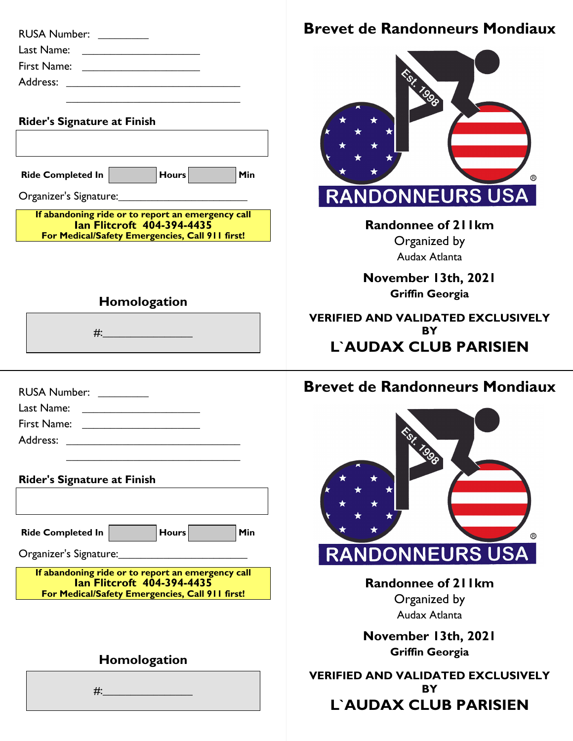| RUSA Number: ________                                                                                                  | <b>Brevet de Randonneurs Mondiaux</b>         |
|------------------------------------------------------------------------------------------------------------------------|-----------------------------------------------|
|                                                                                                                        |                                               |
| First Name: ______________________                                                                                     |                                               |
|                                                                                                                        |                                               |
| <u> 1980 - Johann John Stein, marwolaeth a bhannaich an t-Amhain an t-Amhain an t-Amhain an t-Amhain an t-Amhain a</u> |                                               |
| <b>Rider's Signature at Finish</b>                                                                                     |                                               |
|                                                                                                                        |                                               |
|                                                                                                                        |                                               |
| Ride Completed In <b>Noting the Series</b> Hours Number<br>$\vert$ Min                                                 |                                               |
|                                                                                                                        |                                               |
|                                                                                                                        | <b>RANDONNEURS USA</b>                        |
| If abandoning ride or to report an emergency call<br><b>Ian Flitcroft 404-394-4435</b>                                 | <b>Randonnee of 211km</b>                     |
| For Medical/Safety Emergencies, Call 911 first!                                                                        | Organized by                                  |
|                                                                                                                        | Audax Atlanta                                 |
|                                                                                                                        |                                               |
|                                                                                                                        | November 13th, 2021<br><b>Griffin Georgia</b> |
| Homologation                                                                                                           |                                               |
|                                                                                                                        | <b>VERIFIED AND VALIDATED EXCLUSIVELY</b>     |
|                                                                                                                        | BY                                            |
|                                                                                                                        | <b>L'AUDAX CLUB PARISIEN</b>                  |
|                                                                                                                        | <b>Brevet de Randonneurs Mondiaux</b>         |
| RUSA Number: ________<br>Last Name: _________________________                                                          |                                               |
| First Name: ________________________                                                                                   |                                               |
| Address:                                                                                                               |                                               |
|                                                                                                                        |                                               |
|                                                                                                                        |                                               |
| <b>Rider's Signature at Finish</b>                                                                                     |                                               |
|                                                                                                                        |                                               |
|                                                                                                                        |                                               |
| <b>Ride Completed In</b><br><b>Hours</b><br>Min                                                                        |                                               |
| Organizer's Signature:                                                                                                 | <b>RANDONNEURS USA</b>                        |
| If abandoning ride or to report an emergency call                                                                      |                                               |
| <b>Ian Flitcroft 404-394-4435</b><br>For Medical/Safety Emergencies, Call 911 first!                                   | <b>Randonnee of 211km</b>                     |
|                                                                                                                        | Organized by<br>Audax Atlanta                 |
|                                                                                                                        |                                               |
|                                                                                                                        | November 13th, 2021                           |
| Homologation                                                                                                           | <b>Griffin Georgia</b>                        |
|                                                                                                                        | <b>VERIFIED AND VALIDATED EXCLUSIVELY</b>     |
| $#$ :                                                                                                                  | BY                                            |
|                                                                                                                        | L'AUDAX CLUB PARISIEN                         |